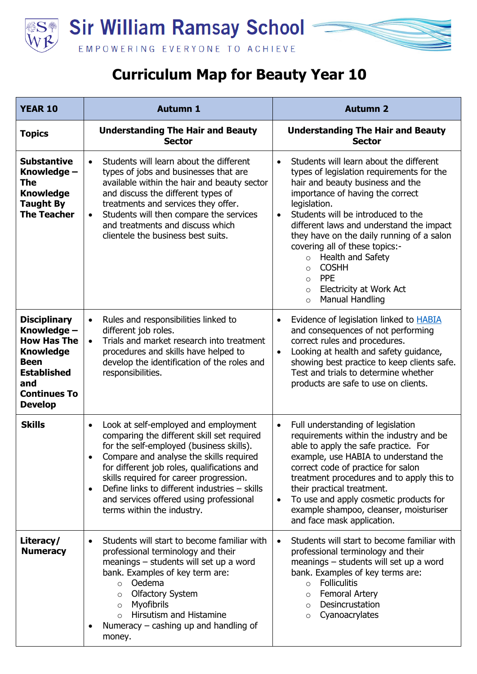



| <b>YEAR 10</b>                                                                                                                                             | <b>Autumn 1</b>                                                                                                                                                                                                                                                                                                                                                                                                         | <b>Autumn 2</b>                                                                                                                                                                                                                                                                                                                                                                                                                                                                                                                        |
|------------------------------------------------------------------------------------------------------------------------------------------------------------|-------------------------------------------------------------------------------------------------------------------------------------------------------------------------------------------------------------------------------------------------------------------------------------------------------------------------------------------------------------------------------------------------------------------------|----------------------------------------------------------------------------------------------------------------------------------------------------------------------------------------------------------------------------------------------------------------------------------------------------------------------------------------------------------------------------------------------------------------------------------------------------------------------------------------------------------------------------------------|
| <b>Topics</b>                                                                                                                                              | <b>Understanding The Hair and Beauty</b><br><b>Sector</b>                                                                                                                                                                                                                                                                                                                                                               | <b>Understanding The Hair and Beauty</b><br><b>Sector</b>                                                                                                                                                                                                                                                                                                                                                                                                                                                                              |
| <b>Substantive</b><br>Knowledge -<br>The<br><b>Knowledge</b><br><b>Taught By</b><br><b>The Teacher</b>                                                     | Students will learn about the different<br>$\bullet$<br>types of jobs and businesses that are<br>available within the hair and beauty sector<br>and discuss the different types of<br>treatments and services they offer.<br>Students will then compare the services<br>$\bullet$<br>and treatments and discuss which<br>clientele the business best suits.                                                             | Students will learn about the different<br>$\bullet$<br>types of legislation requirements for the<br>hair and beauty business and the<br>importance of having the correct<br>legislation.<br>Students will be introduced to the<br>$\bullet$<br>different laws and understand the impact<br>they have on the daily running of a salon<br>covering all of these topics:-<br>Health and Safety<br>$\circ$<br><b>COSHH</b><br>$\circ$<br><b>PPE</b><br>$\circ$<br>Electricity at Work Act<br>$\circ$<br><b>Manual Handling</b><br>$\circ$ |
| <b>Disciplinary</b><br>Knowledge -<br><b>How Has The</b><br><b>Knowledge</b><br>Been<br><b>Established</b><br>and<br><b>Continues To</b><br><b>Develop</b> | Rules and responsibilities linked to<br>$\bullet$<br>different job roles.<br>Trials and market research into treatment<br>$\bullet$<br>procedures and skills have helped to<br>develop the identification of the roles and<br>responsibilities.                                                                                                                                                                         | Evidence of legislation linked to <b>HABIA</b><br>$\bullet$<br>and consequences of not performing<br>correct rules and procedures.<br>Looking at health and safety guidance,<br>$\bullet$<br>showing best practice to keep clients safe.<br>Test and trials to determine whether<br>products are safe to use on clients.                                                                                                                                                                                                               |
| <b>Skills</b>                                                                                                                                              | Look at self-employed and employment<br>$\bullet$<br>comparing the different skill set required<br>for the self-employed (business skills).<br>Compare and analyse the skills required<br>for different job roles, qualifications and<br>skills required for career progression.<br>Define links to different industries - skills<br>$\bullet$<br>and services offered using professional<br>terms within the industry. | Full understanding of legislation<br>$\bullet$<br>requirements within the industry and be<br>able to apply the safe practice. For<br>example, use HABIA to understand the<br>correct code of practice for salon<br>treatment procedures and to apply this to<br>their practical treatment.<br>To use and apply cosmetic products for<br>$\bullet$<br>example shampoo, cleanser, moisturiser<br>and face mask application.                                                                                                              |
| Literacy/<br><b>Numeracy</b>                                                                                                                               | Students will start to become familiar with<br>$\bullet$<br>professional terminology and their<br>meanings - students will set up a word<br>bank. Examples of key term are:<br>Oedema<br>$\circ$<br><b>Olfactory System</b><br>$\circ$<br><b>Myofibrils</b><br>$\circ$<br>Hirsutism and Histamine<br>$\circ$<br>Numeracy $-$ cashing up and handling of<br>٠<br>money.                                                  | Students will start to become familiar with<br>$\bullet$<br>professional terminology and their<br>meanings – students will set up a word<br>bank. Examples of key terms are:<br><b>Folliculitis</b><br>$\circ$<br><b>Femoral Artery</b><br>$\circ$<br>Desincrustation<br>$\circ$<br>Cyanoacrylates<br>$\circ$                                                                                                                                                                                                                          |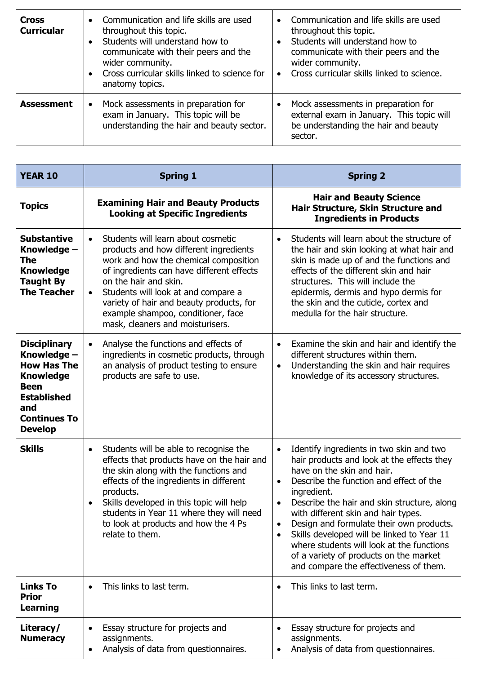| <b>Cross</b><br><b>Curricular</b> | Communication and life skills are used<br>$\bullet$<br>throughout this topic.<br>Students will understand how to<br>$\bullet$<br>communicate with their peers and the<br>wider community.<br>Cross curricular skills linked to science for<br>$\bullet$<br>anatomy topics. | Communication and life skills are used<br>throughout this topic.<br>Students will understand how to<br>communicate with their peers and the<br>wider community.<br>Cross curricular skills linked to science.<br>$\bullet$ |
|-----------------------------------|----------------------------------------------------------------------------------------------------------------------------------------------------------------------------------------------------------------------------------------------------------------------------|----------------------------------------------------------------------------------------------------------------------------------------------------------------------------------------------------------------------------|
| <b>Assessment</b>                 | Mock assessments in preparation for<br>$\bullet$<br>exam in January. This topic will be<br>understanding the hair and beauty sector.                                                                                                                                       | Mock assessments in preparation for<br>external exam in January. This topic will<br>be understanding the hair and beauty<br>sector.                                                                                        |

| <b>YEAR 10</b>                                                                                                                                                    | <b>Spring 1</b>                                                                                                                                                                                                                                                                                                                                                                    | <b>Spring 2</b>                                                                                                                                                                                                                                                                                                                                                                                                                                                                                                                                     |
|-------------------------------------------------------------------------------------------------------------------------------------------------------------------|------------------------------------------------------------------------------------------------------------------------------------------------------------------------------------------------------------------------------------------------------------------------------------------------------------------------------------------------------------------------------------|-----------------------------------------------------------------------------------------------------------------------------------------------------------------------------------------------------------------------------------------------------------------------------------------------------------------------------------------------------------------------------------------------------------------------------------------------------------------------------------------------------------------------------------------------------|
| <b>Topics</b>                                                                                                                                                     | <b>Examining Hair and Beauty Products</b><br><b>Looking at Specific Ingredients</b>                                                                                                                                                                                                                                                                                                | <b>Hair and Beauty Science</b><br>Hair Structure, Skin Structure and<br><b>Ingredients in Products</b>                                                                                                                                                                                                                                                                                                                                                                                                                                              |
| <b>Substantive</b><br>Knowledge -<br><b>The</b><br><b>Knowledge</b><br><b>Taught By</b><br><b>The Teacher</b>                                                     | Students will learn about cosmetic<br>$\bullet$<br>products and how different ingredients<br>work and how the chemical composition<br>of ingredients can have different effects<br>on the hair and skin.<br>Students will look at and compare a<br>$\bullet$<br>variety of hair and beauty products, for<br>example shampoo, conditioner, face<br>mask, cleaners and moisturisers. | Students will learn about the structure of<br>$\bullet$<br>the hair and skin looking at what hair and<br>skin is made up of and the functions and<br>effects of the different skin and hair<br>structures. This will include the<br>epidermis, dermis and hypo dermis for<br>the skin and the cuticle, cortex and<br>medulla for the hair structure.                                                                                                                                                                                                |
| <b>Disciplinary</b><br>Knowledge -<br><b>How Has The</b><br><b>Knowledge</b><br><b>Been</b><br><b>Established</b><br>and<br><b>Continues To</b><br><b>Develop</b> | Analyse the functions and effects of<br>$\bullet$<br>ingredients in cosmetic products, through<br>an analysis of product testing to ensure<br>products are safe to use.                                                                                                                                                                                                            | Examine the skin and hair and identify the<br>$\bullet$<br>different structures within them.<br>Understanding the skin and hair requires<br>$\bullet$<br>knowledge of its accessory structures.                                                                                                                                                                                                                                                                                                                                                     |
| <b>Skills</b>                                                                                                                                                     | Students will be able to recognise the<br>$\bullet$<br>effects that products have on the hair and<br>the skin along with the functions and<br>effects of the ingredients in different<br>products.<br>Skills developed in this topic will help<br>$\bullet$<br>students in Year 11 where they will need<br>to look at products and how the 4 Ps<br>relate to them.                 | Identify ingredients in two skin and two<br>$\bullet$<br>hair products and look at the effects they<br>have on the skin and hair.<br>Describe the function and effect of the<br>$\bullet$<br>ingredient.<br>Describe the hair and skin structure, along<br>$\bullet$<br>with different skin and hair types.<br>Design and formulate their own products.<br>Skills developed will be linked to Year 11<br>$\bullet$<br>where students will look at the functions<br>of a variety of products on the market<br>and compare the effectiveness of them. |
| <b>Links To</b><br><b>Prior</b><br><b>Learning</b>                                                                                                                | This links to last term.<br>$\bullet$                                                                                                                                                                                                                                                                                                                                              | This links to last term.<br>$\bullet$                                                                                                                                                                                                                                                                                                                                                                                                                                                                                                               |
| Literacy/<br><b>Numeracy</b>                                                                                                                                      | Essay structure for projects and<br>$\bullet$<br>assignments.<br>Analysis of data from questionnaires.<br>٠                                                                                                                                                                                                                                                                        | Essay structure for projects and<br>assignments.<br>Analysis of data from questionnaires.                                                                                                                                                                                                                                                                                                                                                                                                                                                           |